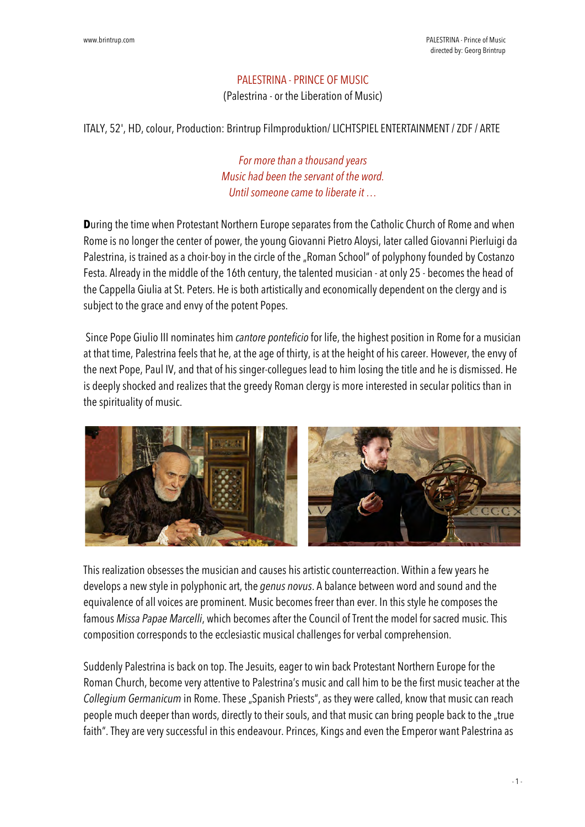## PALESTRINA - PRINCE OF MUSIC

(Palestrina - or the Liberation of Music)

ITALY, 52', HD, colour, Production: Brintrup Filmproduktion/ LICHTSPIEL ENTERTAINMENT / ZDF / ARTE

*For more than a thousand years Music had been the servant of the word. Until someone came to liberate it …*

**D**uring the time when Protestant Northern Europe separates from the Catholic Church of Rome and when Rome is no longer the center of power, the young Giovanni Pietro Aloysi, later called Giovanni Pierluigi da Palestrina, is trained as a choir-boy in the circle of the "Roman School" of polyphony founded by Costanzo Festa. Already in the middle of the 16th century, the talented musician - at only 25 - becomes the head of the Cappella Giulia at St. Peters. He is both artistically and economically dependent on the clergy and is subject to the grace and envy of the potent Popes.

 Since Pope Giulio III nominates him *cantore ponteficio* for life, the highest position in Rome for a musician at that time, Palestrina feels that he, at the age of thirty, is at the height of his career. However, the envy of the next Pope, Paul IV, and that of his singer-collegues lead to him losing the title and he is dismissed. He is deeply shocked and realizes that the greedy Roman clergy is more interested in secular politics than in the spirituality of music.



This realization obsesses the musician and causes his artistic counterreaction. Within a few years he develops a new style in polyphonic art, the *genus novus*. A balance between word and sound and the equivalence of all voices are prominent. Music becomes freer than ever. In this style he composes the famous *Missa Papae Marcelli*, which becomes after the Council of Trent the model for sacred music. This composition corresponds to the ecclesiastic musical challenges for verbal comprehension.

Suddenly Palestrina is back on top. The Jesuits, eager to win back Protestant Northern Europe for the Roman Church, become very attentive to Palestrina's music and call him to be the first music teacher at the *Collegium Germanicum* in Rome. These "Spanish Priests", as they were called, know that music can reach people much deeper than words, directly to their souls, and that music can bring people back to the "true faith". They are very successful in this endeavour. Princes, Kings and even the Emperor want Palestrina as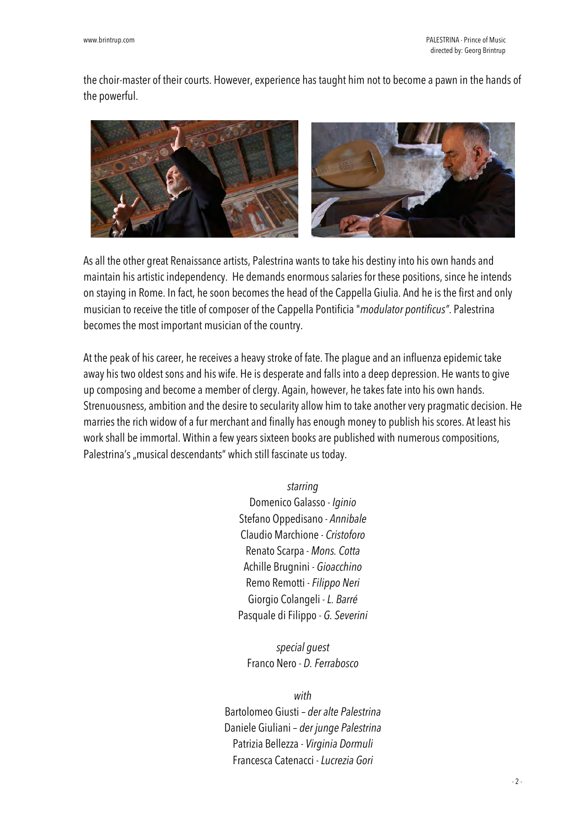the choir-master of their courts. However, experience has taught him not to become a pawn in the hands of the powerful.



As all the other great Renaissance artists, Palestrina wants to take his destiny into his own hands and maintain his artistic independency. He demands enormous salaries for these positions, since he intends on staying in Rome. In fact, he soon becomes the head of the Cappella Giulia. And he is the first and only musician to receive the title of composer of the Cappella Pontificia "*modulator pontificus"*. Palestrina becomes the most important musician of the country.

At the peak of his career, he receives a heavy stroke of fate. The plague and an influenza epidemic take away his two oldest sons and his wife. He is desperate and falls into a deep depression. He wants to give up composing and become a member of clergy. Again, however, he takes fate into his own hands. Strenuousness, ambition and the desire to secularity allow him to take another very pragmatic decision. He marries the rich widow of a fur merchant and finally has enough money to publish his scores. At least his work shall be immortal. Within a few years sixteen books are published with numerous compositions, Palestrina's "musical descendants" which still fascinate us today.

## *starring*

Domenico Galasso - *Iginio* Stefano Oppedisano - *Annibale* Claudio Marchione - *Cristoforo* Renato Scarpa - *Mons. Cotta* Achille Brugnini - *Gioacchino* Remo Remotti -*Filippo Neri* Giorgio Colangeli - *L. Barré* Pasquale di Filippo - *G. Severini*

*special guest* Franco Nero - *D. Ferrabosco*

## *with*

Bartolomeo Giusti – *der alte Palestrina* Daniele Giuliani – *der junge Palestrina* Patrizia Bellezza - *Virginia Dormuli* Francesca Catenacci - *Lucrezia Gori*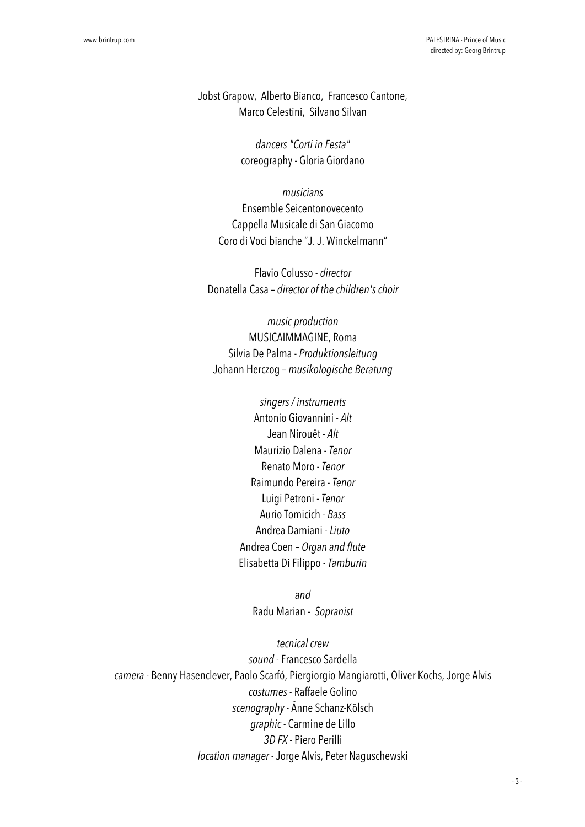Jobst Grapow, Alberto Bianco, Francesco Cantone, Marco Celestini, Silvano Silvan

> *dancers "Corti in Festa"* coreography- Gloria Giordano

*musicians* Ensemble Seicentonovecento Cappella Musicale di San Giacomo Coro di Voci bianche "J. J. Winckelmann"

Flavio Colusso - *director* Donatella Casa – *director of the children's choir*

*music production* MUSICAIMMAGINE, Roma Silvia De Palma - *Produktionsleitung* Johann Herczog – *musikologische Beratung*

> *singers / instruments* Antonio Giovannini - *Alt* Jean Nirouët - *Alt* Maurizio Dalena - *Tenor* Renato Moro - *Tenor* Raimundo Pereira - *Tenor* Luigi Petroni - *Tenor* Aurio Tomicich - *Bass* Andrea Damiani - *Liuto* Andrea Coen – *Organ and flute* Elisabetta Di Filippo - *Tamburin*

> > *and* Radu Marian - *Sopranist*

*tecnical crew sound* - Francesco Sardella *camera* - Benny Hasenclever, Paolo Scarfó, Piergiorgio Mangiarotti, Oliver Kochs, Jorge Alvis *costumes* - Raffaele Golino *scenography*- Änne Schanz-Kölsch *graphic* - Carmine de Lillo *3D FX* - Piero Perilli *location manager* - Jorge Alvis, Peter Naguschewski